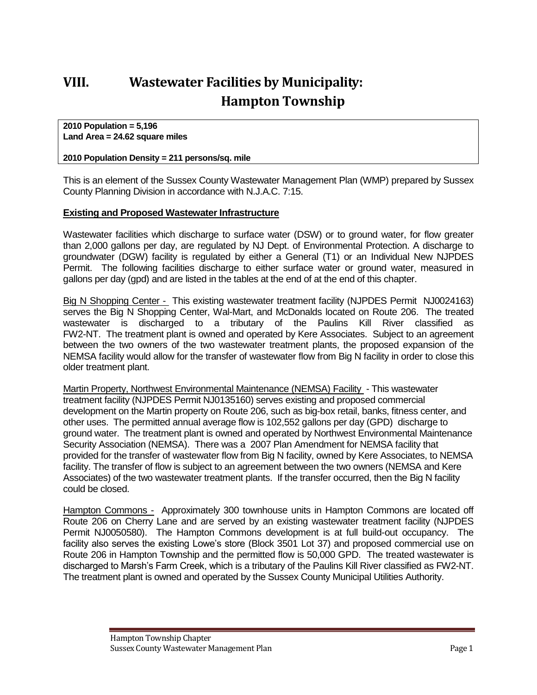# **VIII. Wastewater Facilities by Municipality: Hampton Township**

**2010 Population = 5,196 Land Area = 24.62 square miles**

#### **2010 Population Density = 211 persons/sq. mile**

This is an element of the Sussex County Wastewater Management Plan (WMP) prepared by Sussex County Planning Division in accordance with N.J.A.C. 7:15.

#### **Existing and Proposed Wastewater Infrastructure**

Wastewater facilities which discharge to surface water (DSW) or to ground water, for flow greater than 2,000 gallons per day, are regulated by NJ Dept. of Environmental Protection. A discharge to groundwater (DGW) facility is regulated by either a General (T1) or an Individual New NJPDES Permit. The following facilities discharge to either surface water or ground water, measured in gallons per day (gpd) and are listed in the tables at the end of at the end of this chapter.

Big N Shopping Center - This existing wastewater treatment facility (NJPDES Permit NJ0024163) serves the Big N Shopping Center, Wal-Mart, and McDonalds located on Route 206. The treated wastewater is discharged to a tributary of the Paulins Kill River classified as FW2-NT. The treatment plant is owned and operated by Kere Associates. Subject to an agreement between the two owners of the two wastewater treatment plants, the proposed expansion of the NEMSA facility would allow for the transfer of wastewater flow from Big N facility in order to close this older treatment plant.

Martin Property, Northwest Environmental Maintenance (NEMSA) Facility - This wastewater treatment facility (NJPDES Permit NJ0135160) serves existing and proposed commercial development on the Martin property on Route 206, such as big-box retail, banks, fitness center, and other uses. The permitted annual average flow is 102,552 gallons per day (GPD) discharge to ground water. The treatment plant is owned and operated by Northwest Environmental Maintenance Security Association (NEMSA). There was a 2007 Plan Amendment for NEMSA facility that provided for the transfer of wastewater flow from Big N facility, owned by Kere Associates, to NEMSA facility. The transfer of flow is subject to an agreement between the two owners (NEMSA and Kere Associates) of the two wastewater treatment plants. If the transfer occurred, then the Big N facility could be closed.

Hampton Commons - Approximately 300 townhouse units in Hampton Commons are located off Route 206 on Cherry Lane and are served by an existing wastewater treatment facility (NJPDES Permit NJ0050580). The Hampton Commons development is at full build-out occupancy. The facility also serves the existing Lowe's store (Block 3501 Lot 37) and proposed commercial use on Route 206 in Hampton Township and the permitted flow is 50,000 GPD. The treated wastewater is discharged to Marsh's Farm Creek, which is a tributary of the Paulins Kill River classified as FW2-NT. The treatment plant is owned and operated by the Sussex County Municipal Utilities Authority.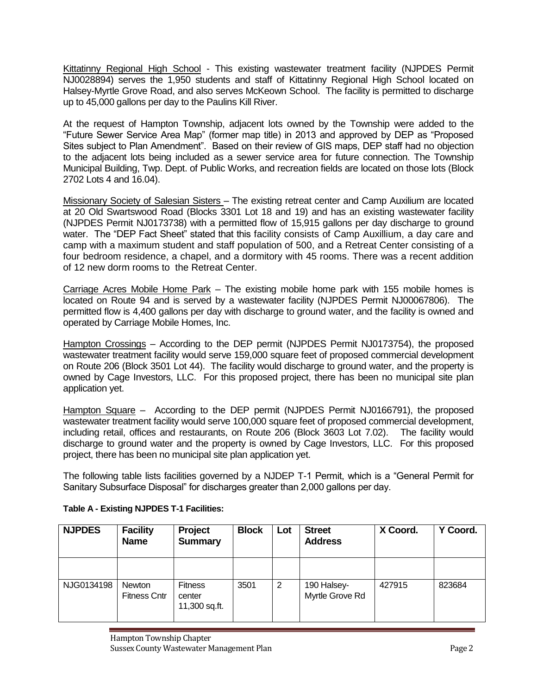Kittatinny Regional High School - This existing wastewater treatment facility (NJPDES Permit NJ0028894) serves the 1,950 students and staff of Kittatinny Regional High School located on Halsey-Myrtle Grove Road, and also serves McKeown School. The facility is permitted to discharge up to 45,000 gallons per day to the Paulins Kill River.

At the request of Hampton Township, adjacent lots owned by the Township were added to the "Future Sewer Service Area Map" (former map title) in 2013 and approved by DEP as "Proposed Sites subject to Plan Amendment". Based on their review of GIS maps, DEP staff had no objection to the adjacent lots being included as a sewer service area for future connection. The Township Municipal Building, Twp. Dept. of Public Works, and recreation fields are located on those lots (Block 2702 Lots 4 and 16.04).

Missionary Society of Salesian Sisters – The existing retreat center and Camp Auxilium are located at 20 Old Swartswood Road (Blocks 3301 Lot 18 and 19) and has an existing wastewater facility (NJPDES Permit NJ0173738) with a permitted flow of 15,915 gallons per day discharge to ground water. The "DEP Fact Sheet" stated that this facility consists of Camp Auxillium, a day care and camp with a maximum student and staff population of 500, and a Retreat Center consisting of a four bedroom residence, a chapel, and a dormitory with 45 rooms. There was a recent addition of 12 new dorm rooms to the Retreat Center.

Carriage Acres Mobile Home Park – The existing mobile home park with 155 mobile homes is located on Route 94 and is served by a wastewater facility (NJPDES Permit NJ00067806). The permitted flow is 4,400 gallons per day with discharge to ground water, and the facility is owned and operated by Carriage Mobile Homes, Inc.

Hampton Crossings – According to the DEP permit (NJPDES Permit NJ0173754), the proposed wastewater treatment facility would serve 159,000 square feet of proposed commercial development on Route 206 (Block 3501 Lot 44). The facility would discharge to ground water, and the property is owned by Cage Investors, LLC. For this proposed project, there has been no municipal site plan application yet.

Hampton Square – According to the DEP permit (NJPDES Permit NJ0166791), the proposed wastewater treatment facility would serve 100,000 square feet of proposed commercial development, including retail, offices and restaurants, on Route 206 (Block 3603 Lot 7.02). The facility would discharge to ground water and the property is owned by Cage Investors, LLC. For this proposed project, there has been no municipal site plan application yet.

The following table lists facilities governed by a NJDEP T-1 Permit, which is a "General Permit for Sanitary Subsurface Disposal" for discharges greater than 2,000 gallons per day.

| <b>NJPDES</b> | <b>Facility</b><br><b>Name</b> | Project<br><b>Summary</b>                 | <b>Block</b> | Lot | <b>Street</b><br><b>Address</b> | X Coord. | Y Coord. |
|---------------|--------------------------------|-------------------------------------------|--------------|-----|---------------------------------|----------|----------|
|               |                                |                                           |              |     |                                 |          |          |
| NJG0134198    | Newton<br><b>Fitness Cntr</b>  | <b>Fitness</b><br>center<br>11,300 sq.ft. | 3501         | 2   | 190 Halsey-<br>Myrtle Grove Rd  | 427915   | 823684   |

# **Table A - Existing NJPDES T-1 Facilities:**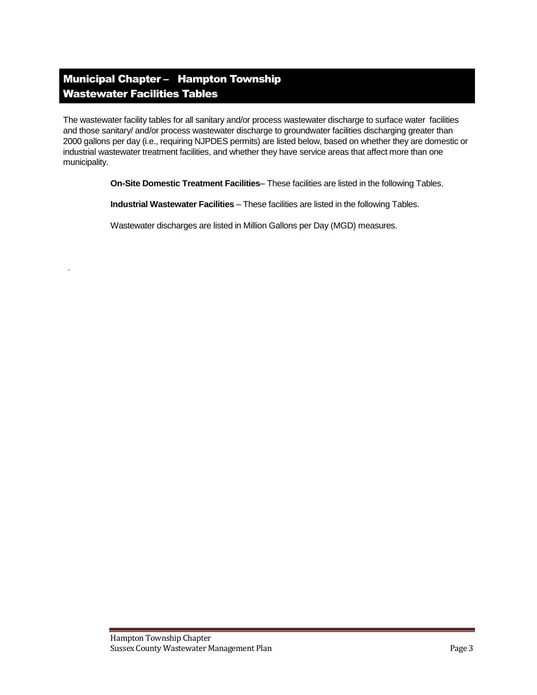# Municipal Chapter – Hampton Township Wastewater Facilities Tables

*.*

The wastewater facility tables for all sanitary and/or process wastewater discharge to surface water facilities and those sanitary/ and/or process wastewater discharge to groundwater facilities discharging greater than 2000 gallons per day (i.e., requiring NJPDES permits) are listed below, based on whether they are domestic or industrial wastewater treatment facilities, and whether they have service areas that affect more than one municipality.

**On-Site Domestic Treatment Facilities**– These facilities are listed in the following Tables.

**Industrial Wastewater Facilities** – These facilities are listed in the following Tables.

Wastewater discharges are listed in Million Gallons per Day (MGD) measures.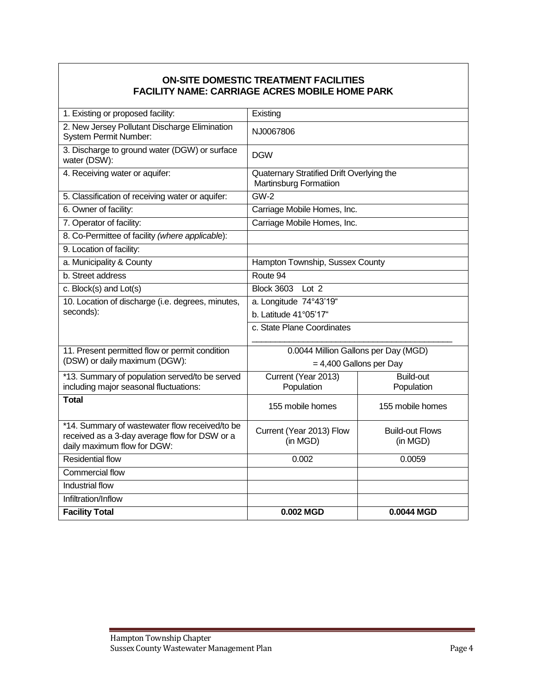# **ON-SITE DOMESTIC TREATMENT FACILITIES FACILITY NAME: CARRIAGE ACRES MOBILE HOME PARK**

| 1. Existing or proposed facility:                                                                                              | Existing                                                                   |                                    |  |
|--------------------------------------------------------------------------------------------------------------------------------|----------------------------------------------------------------------------|------------------------------------|--|
| 2. New Jersey Pollutant Discharge Elimination<br>System Permit Number:                                                         | NJ0067806                                                                  |                                    |  |
| 3. Discharge to ground water (DGW) or surface<br>water (DSW):                                                                  | <b>DGW</b>                                                                 |                                    |  |
| 4. Receiving water or aquifer:                                                                                                 | Quaternary Stratified Drift Overlying the<br><b>Martinsburg Formatiion</b> |                                    |  |
| 5. Classification of receiving water or aquifer:                                                                               | $GW-2$                                                                     |                                    |  |
| 6. Owner of facility:                                                                                                          | Carriage Mobile Homes, Inc.                                                |                                    |  |
| 7. Operator of facility:                                                                                                       | Carriage Mobile Homes, Inc.                                                |                                    |  |
| 8. Co-Permittee of facility (where applicable):                                                                                |                                                                            |                                    |  |
| 9. Location of facility:                                                                                                       |                                                                            |                                    |  |
| a. Municipality & County                                                                                                       | Hampton Township, Sussex County                                            |                                    |  |
| b. Street address                                                                                                              | Route 94                                                                   |                                    |  |
| c. Block(s) and Lot(s)                                                                                                         | <b>Block 3603</b><br>Lot <sub>2</sub>                                      |                                    |  |
| 10. Location of discharge (i.e. degrees, minutes,                                                                              | a. Longitude 74°43'19"                                                     |                                    |  |
| seconds):                                                                                                                      | b. Latitude 41°05'17"                                                      |                                    |  |
|                                                                                                                                | c. State Plane Coordinates                                                 |                                    |  |
| 11. Present permitted flow or permit condition                                                                                 | 0.0044 Million Gallons per Day (MGD)                                       |                                    |  |
| (DSW) or daily maximum (DGW):                                                                                                  | $= 4,400$ Gallons per Day                                                  |                                    |  |
| *13. Summary of population served/to be served                                                                                 | Current (Year 2013)                                                        | Build-out                          |  |
| including major seasonal fluctuations:                                                                                         | Population                                                                 | Population                         |  |
| <b>Total</b>                                                                                                                   | 155 mobile homes                                                           | 155 mobile homes                   |  |
| *14. Summary of wastewater flow received/to be<br>received as a 3-day average flow for DSW or a<br>daily maximum flow for DGW: | Current (Year 2013) Flow<br>(in MGD)                                       | <b>Build-out Flows</b><br>(in MGD) |  |
| <b>Residential flow</b>                                                                                                        | 0.002                                                                      | 0.0059                             |  |
| Commercial flow                                                                                                                |                                                                            |                                    |  |
| Industrial flow                                                                                                                |                                                                            |                                    |  |
| Infiltration/Inflow                                                                                                            |                                                                            |                                    |  |
| <b>Facility Total</b>                                                                                                          | 0.002 MGD                                                                  | 0.0044 MGD                         |  |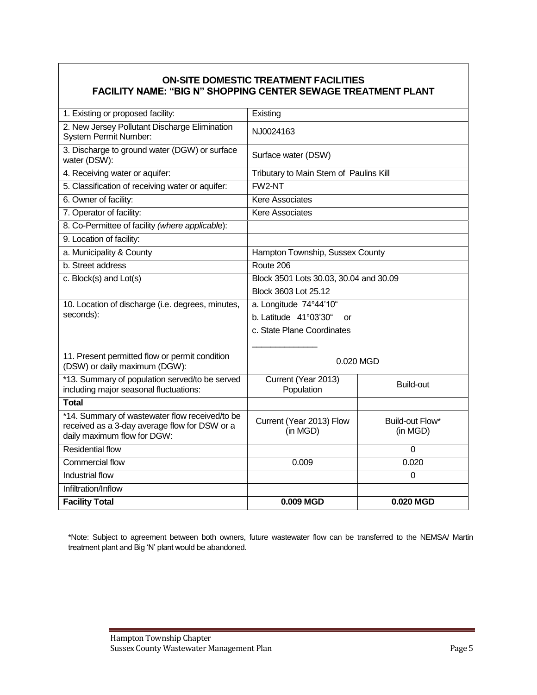# **ON-SITE DOMESTIC TREATMENT FACILITIES FACILITY NAME: "BIG N" SHOPPING CENTER SEWAGE TREATMENT PLANT**

| 1. Existing or proposed facility:                                                               | Existing                               |                                        |  |
|-------------------------------------------------------------------------------------------------|----------------------------------------|----------------------------------------|--|
| 2. New Jersey Pollutant Discharge Elimination<br><b>System Permit Number:</b>                   | NJ0024163                              |                                        |  |
| 3. Discharge to ground water (DGW) or surface<br>water (DSW):                                   | Surface water (DSW)                    |                                        |  |
| 4. Receiving water or aquifer:                                                                  |                                        | Tributary to Main Stem of Paulins Kill |  |
| 5. Classification of receiving water or aquifer:                                                | FW2-NT                                 |                                        |  |
| 6. Owner of facility:                                                                           | <b>Kere Associates</b>                 |                                        |  |
| 7. Operator of facility:                                                                        | <b>Kere Associates</b>                 |                                        |  |
| 8. Co-Permittee of facility (where applicable):                                                 |                                        |                                        |  |
| 9. Location of facility:                                                                        |                                        |                                        |  |
| a. Municipality & County                                                                        | Hampton Township, Sussex County        |                                        |  |
| b. Street address                                                                               | Route 206                              |                                        |  |
| c. Block(s) and Lot(s)                                                                          | Block 3501 Lots 30.03, 30.04 and 30.09 |                                        |  |
|                                                                                                 | Block 3603 Lot 25.12                   |                                        |  |
| 10. Location of discharge (i.e. degrees, minutes,                                               | a. Longitude 74°44'10"                 |                                        |  |
| seconds):                                                                                       | b. Latitude 41°03'30"<br>or            |                                        |  |
|                                                                                                 | c. State Plane Coordinates             |                                        |  |
|                                                                                                 |                                        |                                        |  |
| 11. Present permitted flow or permit condition<br>(DSW) or daily maximum (DGW):                 | 0.020 MGD                              |                                        |  |
| *13. Summary of population served/to be served                                                  | Current (Year 2013)                    | Build-out                              |  |
| including major seasonal fluctuations:                                                          | Population                             |                                        |  |
| <b>Total</b>                                                                                    |                                        |                                        |  |
| *14. Summary of wastewater flow received/to be<br>received as a 3-day average flow for DSW or a | Current (Year 2013) Flow               | Build-out Flow*                        |  |
| daily maximum flow for DGW:                                                                     | (in MGD)                               | (in MGD)                               |  |
| <b>Residential flow</b>                                                                         |                                        | $\mathbf 0$                            |  |
| <b>Commercial flow</b>                                                                          | 0.009<br>0.020                         |                                        |  |
| <b>Industrial flow</b>                                                                          |                                        | 0                                      |  |
| Infiltration/Inflow                                                                             |                                        |                                        |  |
| <b>Facility Total</b>                                                                           | 0.009 MGD                              | 0.020 MGD                              |  |

\*Note: Subject to agreement between both owners, future wastewater flow can be transferred to the NEMSA/ Martin treatment plant and Big 'N' plant would be abandoned.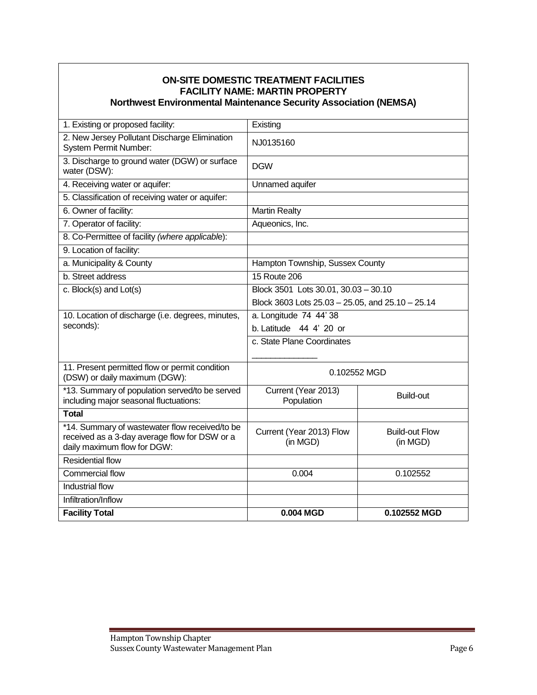| <b>Northwest Environmental Maintenance Security Association (NEMSA)</b>                                                        | <b>ON-SITE DOMESTIC TREATMENT FACILITIES</b><br><b>FACILITY NAME: MARTIN PROPERTY</b> |                                   |  |
|--------------------------------------------------------------------------------------------------------------------------------|---------------------------------------------------------------------------------------|-----------------------------------|--|
|                                                                                                                                |                                                                                       |                                   |  |
| 1. Existing or proposed facility:                                                                                              | Existing                                                                              |                                   |  |
| 2. New Jersey Pollutant Discharge Elimination<br><b>System Permit Number:</b>                                                  | NJ0135160                                                                             |                                   |  |
| 3. Discharge to ground water (DGW) or surface<br>water (DSW):                                                                  | <b>DGW</b>                                                                            |                                   |  |
| 4. Receiving water or aquifer:                                                                                                 | <b>Unnamed aquifer</b>                                                                |                                   |  |
| 5. Classification of receiving water or aquifer:                                                                               |                                                                                       |                                   |  |
| 6. Owner of facility:                                                                                                          | <b>Martin Realty</b>                                                                  |                                   |  |
| 7. Operator of facility:                                                                                                       | Aqueonics, Inc.                                                                       |                                   |  |
| 8. Co-Permittee of facility (where applicable):                                                                                |                                                                                       |                                   |  |
| 9. Location of facility:                                                                                                       |                                                                                       |                                   |  |
| a. Municipality & County                                                                                                       | Hampton Township, Sussex County                                                       |                                   |  |
| b. Street address                                                                                                              | <b>15 Route 206</b>                                                                   |                                   |  |
| c. Block(s) and Lot(s)                                                                                                         | Block 3501 Lots 30.01, 30.03 - 30.10                                                  |                                   |  |
|                                                                                                                                | Block 3603 Lots 25.03 - 25.05, and 25.10 - 25.14                                      |                                   |  |
| 10. Location of discharge (i.e. degrees, minutes,                                                                              | a. Longitude 74 44' 38                                                                |                                   |  |
| seconds):                                                                                                                      | b. Latitude 44 4' 20 or                                                               |                                   |  |
|                                                                                                                                | c. State Plane Coordinates                                                            |                                   |  |
|                                                                                                                                |                                                                                       |                                   |  |
| 11. Present permitted flow or permit condition<br>(DSW) or daily maximum (DGW):                                                | 0.102552 MGD                                                                          |                                   |  |
| *13. Summary of population served/to be served<br>including major seasonal fluctuations:                                       | Current (Year 2013)<br>Population                                                     | Build-out                         |  |
| <b>Total</b>                                                                                                                   |                                                                                       |                                   |  |
| *14. Summary of wastewater flow received/to be<br>received as a 3-day average flow for DSW or a<br>daily maximum flow for DGW: | Current (Year 2013) Flow<br>(in MGD)                                                  | <b>Build-out Flow</b><br>(in MGD) |  |
| <b>Residential flow</b>                                                                                                        |                                                                                       |                                   |  |
| Commercial flow                                                                                                                | 0.102552<br>0.004                                                                     |                                   |  |
| Industrial flow                                                                                                                |                                                                                       |                                   |  |
| Infiltration/Inflow                                                                                                            |                                                                                       |                                   |  |
| <b>Facility Total</b>                                                                                                          | 0.004 MGD                                                                             | 0.102552 MGD                      |  |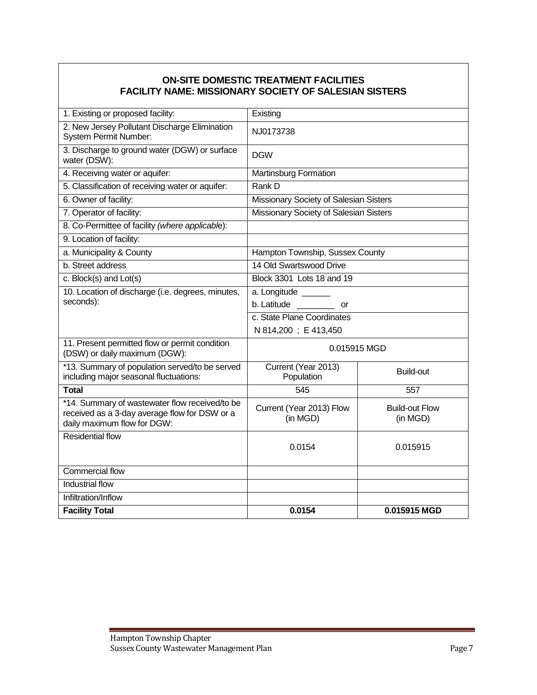# **ON-SITE DOMESTIC TREATMENT FACILITIES FACILITY NAME: MISSIONARY SOCIETY OF SALESIAN SISTERS**

| 1. Existing or proposed facility:                                                                                              | Existing                               |                                   |  |
|--------------------------------------------------------------------------------------------------------------------------------|----------------------------------------|-----------------------------------|--|
| 2. New Jersey Pollutant Discharge Elimination<br><b>System Permit Number:</b>                                                  | NJ0173738                              |                                   |  |
| 3. Discharge to ground water (DGW) or surface<br>water (DSW):                                                                  | <b>DGW</b>                             |                                   |  |
| 4. Receiving water or aquifer:                                                                                                 | <b>Martinsburg Formation</b>           |                                   |  |
| 5. Classification of receiving water or aquifer:                                                                               | Rank D                                 |                                   |  |
| 6. Owner of facility:                                                                                                          | Missionary Society of Salesian Sisters |                                   |  |
| 7. Operator of facility:                                                                                                       | Missionary Society of Salesian Sisters |                                   |  |
| 8. Co-Permittee of facility (where applicable):                                                                                |                                        |                                   |  |
| 9. Location of facility:                                                                                                       |                                        |                                   |  |
| a. Municipality & County                                                                                                       | Hampton Township, Sussex County        |                                   |  |
| b. Street address                                                                                                              | 14 Old Swartswood Drive                |                                   |  |
| c. Block(s) and Lot(s)                                                                                                         | Block 3301 Lots 18 and 19              |                                   |  |
| 10. Location of discharge (i.e. degrees, minutes,                                                                              | a. Longitude _______                   |                                   |  |
| seconds):                                                                                                                      | $b.$ Latitude $\qquad \qquad$<br>or    |                                   |  |
|                                                                                                                                | c. State Plane Coordinates             |                                   |  |
|                                                                                                                                | N 814,200; E 413,450                   |                                   |  |
| 11. Present permitted flow or permit condition<br>(DSW) or daily maximum (DGW):                                                | 0.015915 MGD                           |                                   |  |
| *13. Summary of population served/to be served<br>including major seasonal fluctuations:                                       | Current (Year 2013)<br>Population      | <b>Build-out</b>                  |  |
| <b>Total</b>                                                                                                                   | 545                                    | 557                               |  |
| *14. Summary of wastewater flow received/to be<br>received as a 3-day average flow for DSW or a<br>daily maximum flow for DGW: | Current (Year 2013) Flow<br>(in MGD)   | <b>Build-out Flow</b><br>(in MGD) |  |
| <b>Residential flow</b>                                                                                                        | 0.0154                                 | 0.015915                          |  |
| <b>Commercial flow</b>                                                                                                         |                                        |                                   |  |
| <b>Industrial flow</b>                                                                                                         |                                        |                                   |  |
| Infiltration/Inflow                                                                                                            |                                        |                                   |  |
| <b>Facility Total</b>                                                                                                          | 0.0154                                 | 0.015915 MGD                      |  |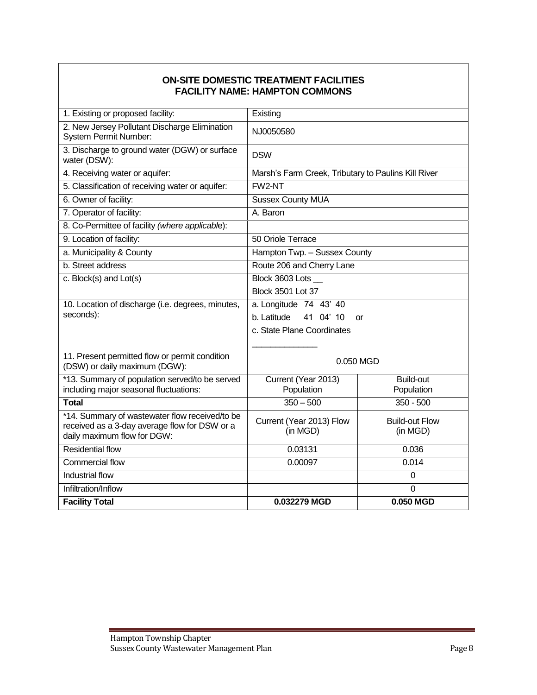#### **ON-SITE DOMESTIC TREATMENT FACILITIES FACILITY NAME: HAMPTON COMMONS**

| 1. Existing or proposed facility:                                               | Existing                                            |                       |  |
|---------------------------------------------------------------------------------|-----------------------------------------------------|-----------------------|--|
| 2. New Jersey Pollutant Discharge Elimination<br>System Permit Number:          | NJ0050580                                           |                       |  |
| 3. Discharge to ground water (DGW) or surface<br>water (DSW):                   | <b>DSW</b>                                          |                       |  |
| 4. Receiving water or aquifer:                                                  | Marsh's Farm Creek, Tributary to Paulins Kill River |                       |  |
| 5. Classification of receiving water or aquifer:                                | FW2-NT                                              |                       |  |
| 6. Owner of facility:                                                           | <b>Sussex County MUA</b>                            |                       |  |
| 7. Operator of facility:                                                        | A. Baron                                            |                       |  |
| 8. Co-Permittee of facility (where applicable):                                 |                                                     |                       |  |
| 9. Location of facility:                                                        | 50 Oriole Terrace                                   |                       |  |
| a. Municipality & County                                                        | Hampton Twp. - Sussex County                        |                       |  |
| b. Street address                                                               | Route 206 and Cherry Lane                           |                       |  |
| c. Block(s) and Lot(s)                                                          | Block 3603 Lots __                                  |                       |  |
|                                                                                 | <b>Block 3501 Lot 37</b>                            |                       |  |
| 10. Location of discharge (i.e. degrees, minutes,                               | a. Longitude 74 43' 40                              |                       |  |
| seconds):                                                                       | 41 04' 10<br>b. Latitude                            | <b>or</b>             |  |
|                                                                                 | c. State Plane Coordinates                          |                       |  |
|                                                                                 |                                                     |                       |  |
| 11. Present permitted flow or permit condition<br>(DSW) or daily maximum (DGW): | 0.050 MGD                                           |                       |  |
| *13. Summary of population served/to be served                                  | Current (Year 2013)                                 | <b>Build-out</b>      |  |
| including major seasonal fluctuations:                                          | Population                                          | Population            |  |
| <b>Total</b>                                                                    | $350 - 500$                                         | $350 - 500$           |  |
| *14. Summary of wastewater flow received/to be                                  | Current (Year 2013) Flow                            | <b>Build-out Flow</b> |  |
| received as a 3-day average flow for DSW or a<br>daily maximum flow for DGW:    | (in MGD)                                            | (in MGD)              |  |
| <b>Residential flow</b>                                                         | 0.03131                                             | 0.036                 |  |
| <b>Commercial flow</b>                                                          | 0.00097                                             | 0.014                 |  |
| <b>Industrial flow</b>                                                          |                                                     | $\Omega$              |  |
| Infiltration/Inflow                                                             |                                                     | $\mathbf 0$           |  |
| <b>Facility Total</b>                                                           | 0.032279 MGD                                        | 0.050 MGD             |  |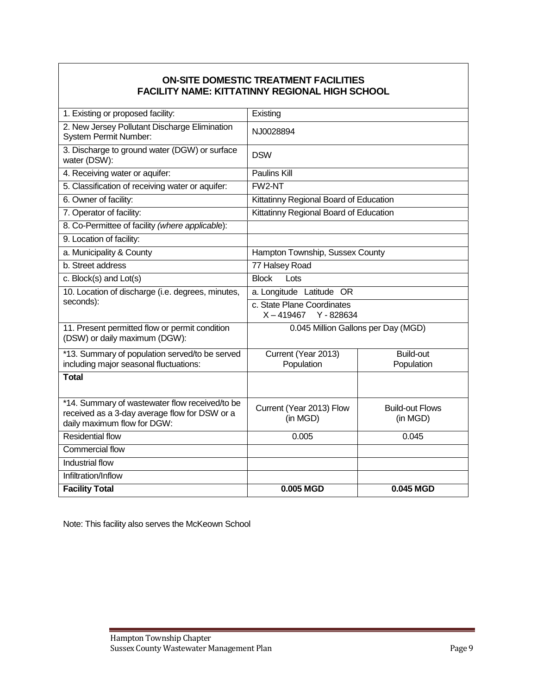# **ON-SITE DOMESTIC TREATMENT FACILITIES FACILITY NAME: KITTATINNY REGIONAL HIGH SCHOOL**

| 1. Existing or proposed facility:                                                                                              | Existing                                               |                                    |  |
|--------------------------------------------------------------------------------------------------------------------------------|--------------------------------------------------------|------------------------------------|--|
| 2. New Jersey Pollutant Discharge Elimination<br><b>System Permit Number:</b>                                                  | NJ0028894                                              |                                    |  |
| 3. Discharge to ground water (DGW) or surface<br>water (DSW):                                                                  | <b>DSW</b>                                             |                                    |  |
| 4. Receiving water or aquifer:                                                                                                 | <b>Paulins Kill</b>                                    |                                    |  |
| 5. Classification of receiving water or aquifer:                                                                               | FW2-NT                                                 |                                    |  |
| 6. Owner of facility:                                                                                                          | Kittatinny Regional Board of Education                 |                                    |  |
| 7. Operator of facility:                                                                                                       | Kittatinny Regional Board of Education                 |                                    |  |
| 8. Co-Permittee of facility (where applicable):                                                                                |                                                        |                                    |  |
| 9. Location of facility:                                                                                                       |                                                        |                                    |  |
| a. Municipality & County                                                                                                       | Hampton Township, Sussex County                        |                                    |  |
| b. Street address                                                                                                              | 77 Halsey Road                                         |                                    |  |
| c. Block(s) and Lot(s)                                                                                                         | <b>Block</b><br>Lots                                   |                                    |  |
| 10. Location of discharge (i.e. degrees, minutes,                                                                              | a. Longitude Latitude OR                               |                                    |  |
| seconds):                                                                                                                      | c. State Plane Coordinates<br>Y - 828634<br>X – 419467 |                                    |  |
| 11. Present permitted flow or permit condition<br>(DSW) or daily maximum (DGW):                                                | 0.045 Million Gallons per Day (MGD)                    |                                    |  |
| *13. Summary of population served/to be served                                                                                 | Current (Year 2013)                                    | <b>Build-out</b>                   |  |
| including major seasonal fluctuations:                                                                                         | Population                                             | Population                         |  |
| <b>Total</b>                                                                                                                   |                                                        |                                    |  |
| *14. Summary of wastewater flow received/to be<br>received as a 3-day average flow for DSW or a<br>daily maximum flow for DGW: | Current (Year 2013) Flow<br>(in MGD)                   | <b>Build-out Flows</b><br>(in MGD) |  |
| <b>Residential flow</b>                                                                                                        | 0.005                                                  | 0.045                              |  |
| Commercial flow                                                                                                                |                                                        |                                    |  |
| Industrial flow                                                                                                                |                                                        |                                    |  |
| Infiltration/Inflow                                                                                                            |                                                        |                                    |  |
| <b>Facility Total</b>                                                                                                          | 0.005 MGD                                              | 0.045 MGD                          |  |

Note: This facility also serves the McKeown School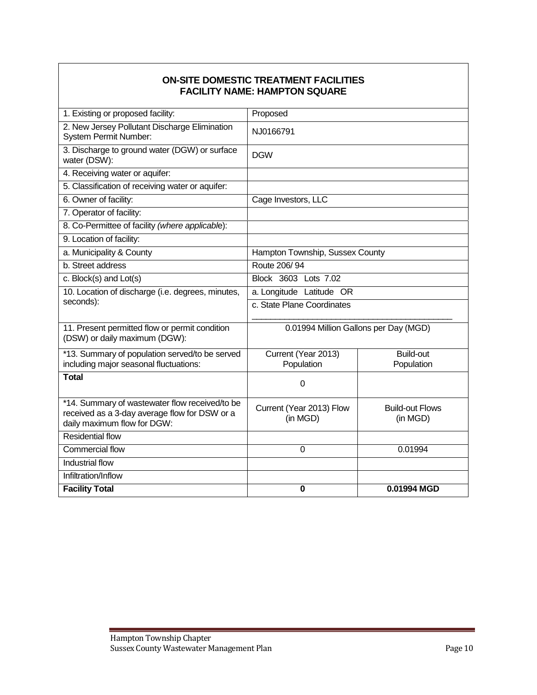#### **ON-SITE DOMESTIC TREATMENT FACILITIES FACILITY NAME: HAMPTON SQUARE**

| 1. Existing or proposed facility:                                                                                              | Proposed                              |                                    |  |
|--------------------------------------------------------------------------------------------------------------------------------|---------------------------------------|------------------------------------|--|
| 2. New Jersey Pollutant Discharge Elimination<br>System Permit Number:                                                         | NJ0166791                             |                                    |  |
| 3. Discharge to ground water (DGW) or surface<br>water (DSW):                                                                  | <b>DGW</b>                            |                                    |  |
| 4. Receiving water or aquifer:                                                                                                 |                                       |                                    |  |
| 5. Classification of receiving water or aquifer:                                                                               |                                       |                                    |  |
| 6. Owner of facility:                                                                                                          | Cage Investors, LLC                   |                                    |  |
| 7. Operator of facility:                                                                                                       |                                       |                                    |  |
| 8. Co-Permittee of facility (where applicable):                                                                                |                                       |                                    |  |
| 9. Location of facility:                                                                                                       |                                       |                                    |  |
| a. Municipality & County                                                                                                       | Hampton Township, Sussex County       |                                    |  |
| b. Street address                                                                                                              | Route 206/94                          |                                    |  |
| c. Block(s) and Lot(s)                                                                                                         | Block 3603 Lots 7.02                  |                                    |  |
| 10. Location of discharge (i.e. degrees, minutes,                                                                              | a. Longitude Latitude OR              |                                    |  |
| seconds):                                                                                                                      | c. State Plane Coordinates            |                                    |  |
|                                                                                                                                |                                       |                                    |  |
| 11. Present permitted flow or permit condition<br>(DSW) or daily maximum (DGW):                                                | 0.01994 Million Gallons per Day (MGD) |                                    |  |
| *13. Summary of population served/to be served                                                                                 | Current (Year 2013)                   | <b>Build-out</b>                   |  |
| including major seasonal fluctuations:                                                                                         | Population                            | Population                         |  |
| <b>Total</b>                                                                                                                   | 0                                     |                                    |  |
| *14. Summary of wastewater flow received/to be<br>received as a 3-day average flow for DSW or a<br>daily maximum flow for DGW: | Current (Year 2013) Flow<br>(in MGD)  | <b>Build-out Flows</b><br>(in MGD) |  |
| <b>Residential flow</b>                                                                                                        |                                       |                                    |  |
| <b>Commercial flow</b>                                                                                                         | 0                                     | 0.01994                            |  |
| Industrial flow                                                                                                                |                                       |                                    |  |
| Infiltration/Inflow                                                                                                            |                                       |                                    |  |
| <b>Facility Total</b>                                                                                                          | $\bf{0}$                              | 0.01994 MGD                        |  |